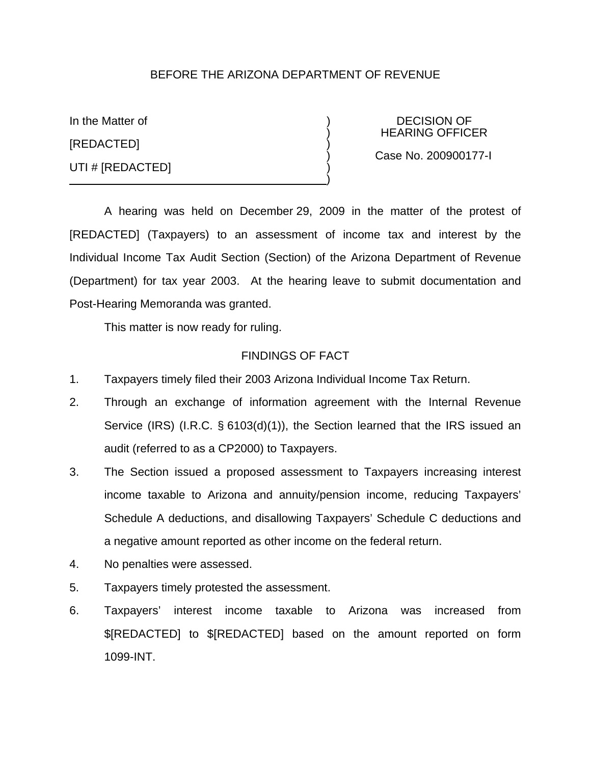## BEFORE THE ARIZONA DEPARTMENT OF REVENUE

In the Matter of  $\overline{D}$  DECISION OF [REDACTED] ) UTI # [REDACTED]

) HEARING OFFICER

) Case No. 200900177-I

A hearing was held on December 29, 2009 in the matter of the protest of [REDACTED] (Taxpayers) to an assessment of income tax and interest by the Individual Income Tax Audit Section (Section) of the Arizona Department of Revenue (Department) for tax year 2003. At the hearing leave to submit documentation and Post-Hearing Memoranda was granted.

)

This matter is now ready for ruling.

### FINDINGS OF FACT

- 1. Taxpayers timely filed their 2003 Arizona Individual Income Tax Return.
- 2. Through an exchange of information agreement with the Internal Revenue Service (IRS) (I.R.C. § 6103(d)(1)), the Section learned that the IRS issued an audit (referred to as a CP2000) to Taxpayers.
- 3. The Section issued a proposed assessment to Taxpayers increasing interest income taxable to Arizona and annuity/pension income, reducing Taxpayers' Schedule A deductions, and disallowing Taxpayers' Schedule C deductions and a negative amount reported as other income on the federal return.
- 4. No penalties were assessed.
- 5. Taxpayers timely protested the assessment.
- 6. Taxpayers' interest income taxable to Arizona was increased from \$[REDACTED] to \$[REDACTED] based on the amount reported on form 1099-INT.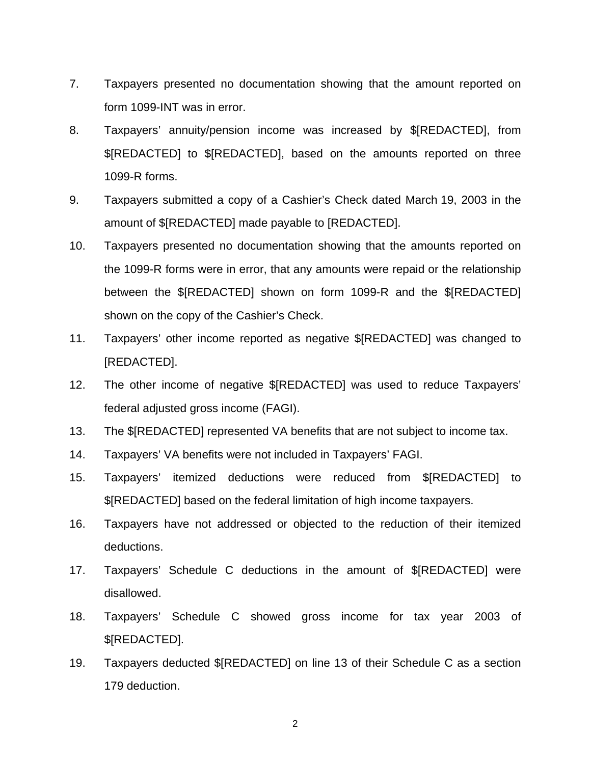- 7. Taxpayers presented no documentation showing that the amount reported on form 1099-INT was in error.
- 8. Taxpayers' annuity/pension income was increased by \$[REDACTED], from \$[REDACTED] to \$[REDACTED], based on the amounts reported on three 1099-R forms.
- 9. Taxpayers submitted a copy of a Cashier's Check dated March 19, 2003 in the amount of \$[REDACTED] made payable to [REDACTED].
- 10. Taxpayers presented no documentation showing that the amounts reported on the 1099-R forms were in error, that any amounts were repaid or the relationship between the \$[REDACTED] shown on form 1099-R and the \$[REDACTED] shown on the copy of the Cashier's Check.
- 11. Taxpayers' other income reported as negative \$[REDACTED] was changed to [REDACTED].
- 12. The other income of negative \$[REDACTED] was used to reduce Taxpayers' federal adjusted gross income (FAGI).
- 13. The \$[REDACTED] represented VA benefits that are not subject to income tax.
- 14. Taxpayers' VA benefits were not included in Taxpayers' FAGI.
- 15. Taxpayers' itemized deductions were reduced from \$[REDACTED] to \$[REDACTED] based on the federal limitation of high income taxpayers.
- 16. Taxpayers have not addressed or objected to the reduction of their itemized deductions.
- 17. Taxpayers' Schedule C deductions in the amount of \$[REDACTED] were disallowed.
- 18. Taxpayers' Schedule C showed gross income for tax year 2003 of \$[REDACTED].
- 19. Taxpayers deducted \$[REDACTED] on line 13 of their Schedule C as a section 179 deduction.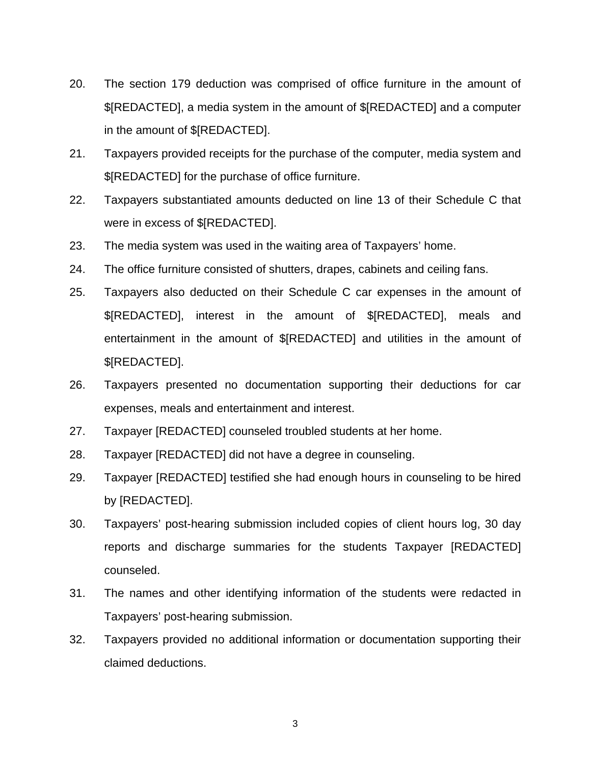- 20. The section 179 deduction was comprised of office furniture in the amount of \$[REDACTED], a media system in the amount of \$[REDACTED] and a computer in the amount of \$[REDACTED].
- 21. Taxpayers provided receipts for the purchase of the computer, media system and \$[REDACTED] for the purchase of office furniture.
- 22. Taxpayers substantiated amounts deducted on line 13 of their Schedule C that were in excess of \$[REDACTED].
- 23. The media system was used in the waiting area of Taxpayers' home.
- 24. The office furniture consisted of shutters, drapes, cabinets and ceiling fans.
- 25. Taxpayers also deducted on their Schedule C car expenses in the amount of \$[REDACTED], interest in the amount of \$[REDACTED], meals and entertainment in the amount of \$[REDACTED] and utilities in the amount of \$[REDACTED].
- 26. Taxpayers presented no documentation supporting their deductions for car expenses, meals and entertainment and interest.
- 27. Taxpayer [REDACTED] counseled troubled students at her home.
- 28. Taxpayer [REDACTED] did not have a degree in counseling.
- 29. Taxpayer [REDACTED] testified she had enough hours in counseling to be hired by [REDACTED].
- 30. Taxpayers' post-hearing submission included copies of client hours log, 30 day reports and discharge summaries for the students Taxpayer [REDACTED] counseled.
- 31. The names and other identifying information of the students were redacted in Taxpayers' post-hearing submission.
- 32. Taxpayers provided no additional information or documentation supporting their claimed deductions.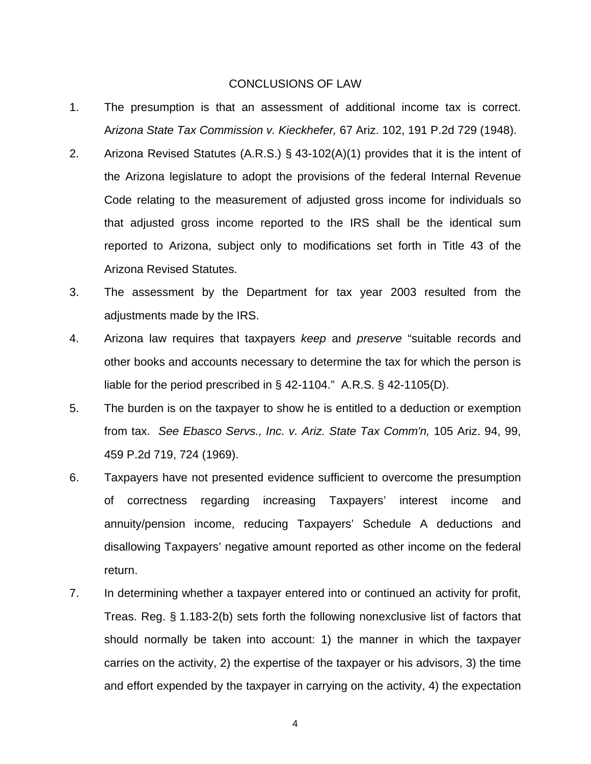#### CONCLUSIONS OF LAW

- 1. The presumption is that an assessment of additional income tax is correct. A*rizona State Tax Commission v. Kieckhefer,* 67 Ariz. 102, 191 P.2d 729 (1948).
- 2. Arizona Revised Statutes (A.R.S.) § 43-102(A)(1) provides that it is the intent of the Arizona legislature to adopt the provisions of the federal Internal Revenue Code relating to the measurement of adjusted gross income for individuals so that adjusted gross income reported to the IRS shall be the identical sum reported to Arizona, subject only to modifications set forth in Title 43 of the Arizona Revised Statutes.
- 3. The assessment by the Department for tax year 2003 resulted from the adjustments made by the IRS.
- 4. Arizona law requires that taxpayers *keep* and *preserve* "suitable records and other books and accounts necessary to determine the tax for which the person is liable for the period prescribed in § 42-1104." A.R.S. § 42-1105(D).
- 5. The burden is on the taxpayer to show he is entitled to a deduction or exemption from tax. *See Ebasco Servs., Inc. v. Ariz. State Tax Comm'n,* 105 Ariz. 94, 99, 459 P.2d 719, 724 (1969).
- 6. Taxpayers have not presented evidence sufficient to overcome the presumption of correctness regarding increasing Taxpayers' interest income and annuity/pension income, reducing Taxpayers' Schedule A deductions and disallowing Taxpayers' negative amount reported as other income on the federal return.
- 7. In determining whether a taxpayer entered into or continued an activity for profit, Treas. Reg. § 1.183-2(b) sets forth the following nonexclusive list of factors that should normally be taken into account: 1) the manner in which the taxpayer carries on the activity, 2) the expertise of the taxpayer or his advisors, 3) the time and effort expended by the taxpayer in carrying on the activity, 4) the expectation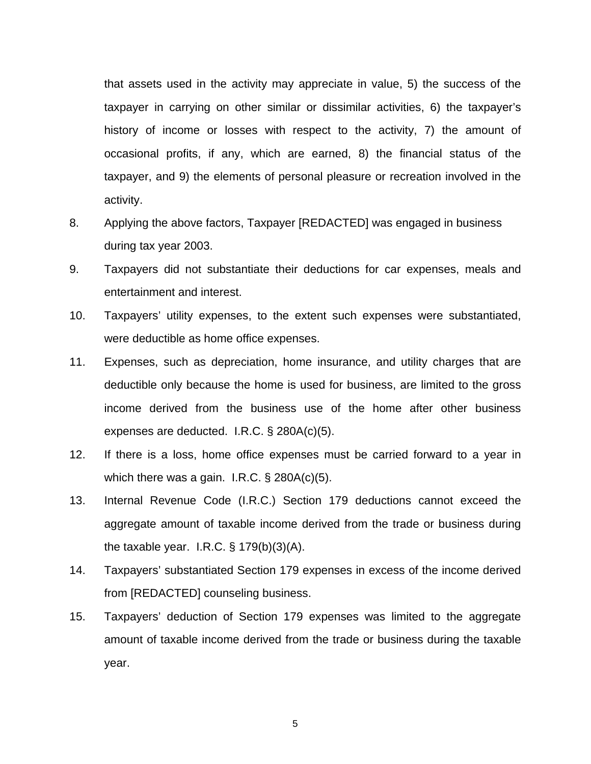that assets used in the activity may appreciate in value, 5) the success of the taxpayer in carrying on other similar or dissimilar activities, 6) the taxpayer's history of income or losses with respect to the activity, 7) the amount of occasional profits, if any, which are earned, 8) the financial status of the taxpayer, and 9) the elements of personal pleasure or recreation involved in the activity.

- 8. Applying the above factors, Taxpayer [REDACTED] was engaged in business during tax year 2003.
- 9. Taxpayers did not substantiate their deductions for car expenses, meals and entertainment and interest.
- 10. Taxpayers' utility expenses, to the extent such expenses were substantiated, were deductible as home office expenses.
- 11. Expenses, such as depreciation, home insurance, and utility charges that are deductible only because the home is used for business, are limited to the gross income derived from the business use of the home after other business expenses are deducted. I.R.C. § 280A(c)(5).
- 12. If there is a loss, home office expenses must be carried forward to a year in which there was a gain. I.R.C. § 280A(c)(5).
- 13. Internal Revenue Code (I.R.C.) Section 179 deductions cannot exceed the aggregate amount of taxable income derived from the trade or business during the taxable year. I.R.C.  $\S$  179(b)(3)(A).
- 14. Taxpayers' substantiated Section 179 expenses in excess of the income derived from [REDACTED] counseling business.
- 15. Taxpayers' deduction of Section 179 expenses was limited to the aggregate amount of taxable income derived from the trade or business during the taxable year.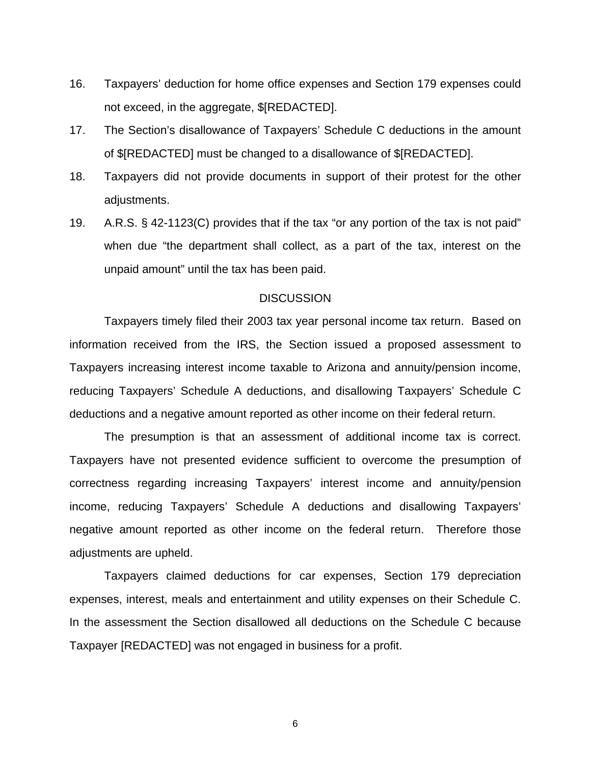- 16. Taxpayers' deduction for home office expenses and Section 179 expenses could not exceed, in the aggregate, \$[REDACTED].
- 17. The Section's disallowance of Taxpayers' Schedule C deductions in the amount of \$[REDACTED] must be changed to a disallowance of \$[REDACTED].
- 18. Taxpayers did not provide documents in support of their protest for the other adjustments.
- 19. A.R.S. § 42-1123(C) provides that if the tax "or any portion of the tax is not paid" when due "the department shall collect, as a part of the tax, interest on the unpaid amount" until the tax has been paid.

### **DISCUSSION**

Taxpayers timely filed their 2003 tax year personal income tax return. Based on information received from the IRS, the Section issued a proposed assessment to Taxpayers increasing interest income taxable to Arizona and annuity/pension income, reducing Taxpayers' Schedule A deductions, and disallowing Taxpayers' Schedule C deductions and a negative amount reported as other income on their federal return.

The presumption is that an assessment of additional income tax is correct. Taxpayers have not presented evidence sufficient to overcome the presumption of correctness regarding increasing Taxpayers' interest income and annuity/pension income, reducing Taxpayers' Schedule A deductions and disallowing Taxpayers' negative amount reported as other income on the federal return. Therefore those adjustments are upheld.

Taxpayers claimed deductions for car expenses, Section 179 depreciation expenses, interest, meals and entertainment and utility expenses on their Schedule C. In the assessment the Section disallowed all deductions on the Schedule C because Taxpayer [REDACTED] was not engaged in business for a profit.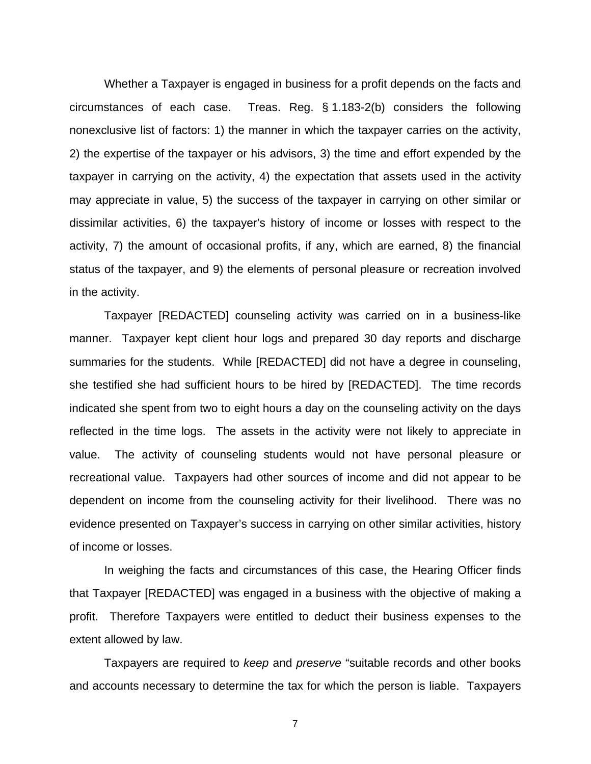Whether a Taxpayer is engaged in business for a profit depends on the facts and circumstances of each case. Treas. Reg. § 1.183-2(b) considers the following nonexclusive list of factors: 1) the manner in which the taxpayer carries on the activity, 2) the expertise of the taxpayer or his advisors, 3) the time and effort expended by the taxpayer in carrying on the activity, 4) the expectation that assets used in the activity may appreciate in value, 5) the success of the taxpayer in carrying on other similar or dissimilar activities, 6) the taxpayer's history of income or losses with respect to the activity, 7) the amount of occasional profits, if any, which are earned, 8) the financial status of the taxpayer, and 9) the elements of personal pleasure or recreation involved in the activity.

Taxpayer [REDACTED] counseling activity was carried on in a business-like manner. Taxpayer kept client hour logs and prepared 30 day reports and discharge summaries for the students. While [REDACTED] did not have a degree in counseling, she testified she had sufficient hours to be hired by [REDACTED]. The time records indicated she spent from two to eight hours a day on the counseling activity on the days reflected in the time logs. The assets in the activity were not likely to appreciate in value. The activity of counseling students would not have personal pleasure or recreational value. Taxpayers had other sources of income and did not appear to be dependent on income from the counseling activity for their livelihood. There was no evidence presented on Taxpayer's success in carrying on other similar activities, history of income or losses.

In weighing the facts and circumstances of this case, the Hearing Officer finds that Taxpayer [REDACTED] was engaged in a business with the objective of making a profit. Therefore Taxpayers were entitled to deduct their business expenses to the extent allowed by law.

Taxpayers are required to *keep* and *preserve* "suitable records and other books and accounts necessary to determine the tax for which the person is liable. Taxpayers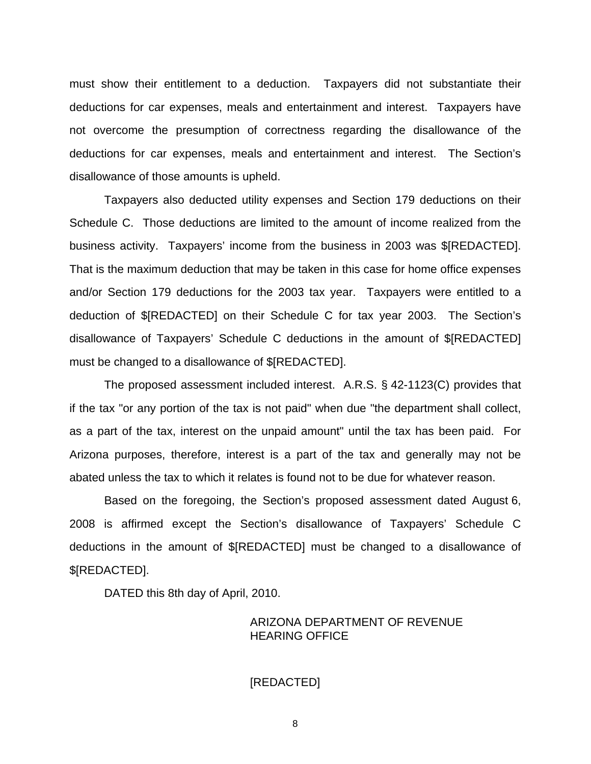must show their entitlement to a deduction. Taxpayers did not substantiate their deductions for car expenses, meals and entertainment and interest. Taxpayers have not overcome the presumption of correctness regarding the disallowance of the deductions for car expenses, meals and entertainment and interest. The Section's disallowance of those amounts is upheld.

Taxpayers also deducted utility expenses and Section 179 deductions on their Schedule C. Those deductions are limited to the amount of income realized from the business activity. Taxpayers' income from the business in 2003 was \$[REDACTED]. That is the maximum deduction that may be taken in this case for home office expenses and/or Section 179 deductions for the 2003 tax year. Taxpayers were entitled to a deduction of \$[REDACTED] on their Schedule C for tax year 2003. The Section's disallowance of Taxpayers' Schedule C deductions in the amount of \$[REDACTED] must be changed to a disallowance of \$[REDACTED].

The proposed assessment included interest. A.R.S. § 42-1123(C) provides that if the tax "or any portion of the tax is not paid" when due "the department shall collect, as a part of the tax, interest on the unpaid amount" until the tax has been paid. For Arizona purposes, therefore, interest is a part of the tax and generally may not be abated unless the tax to which it relates is found not to be due for whatever reason.

Based on the foregoing, the Section's proposed assessment dated August 6, 2008 is affirmed except the Section's disallowance of Taxpayers' Schedule C deductions in the amount of \$[REDACTED] must be changed to a disallowance of \$[REDACTED].

DATED this 8th day of April, 2010.

# ARIZONA DEPARTMENT OF REVENUE HEARING OFFICE

#### [REDACTED]